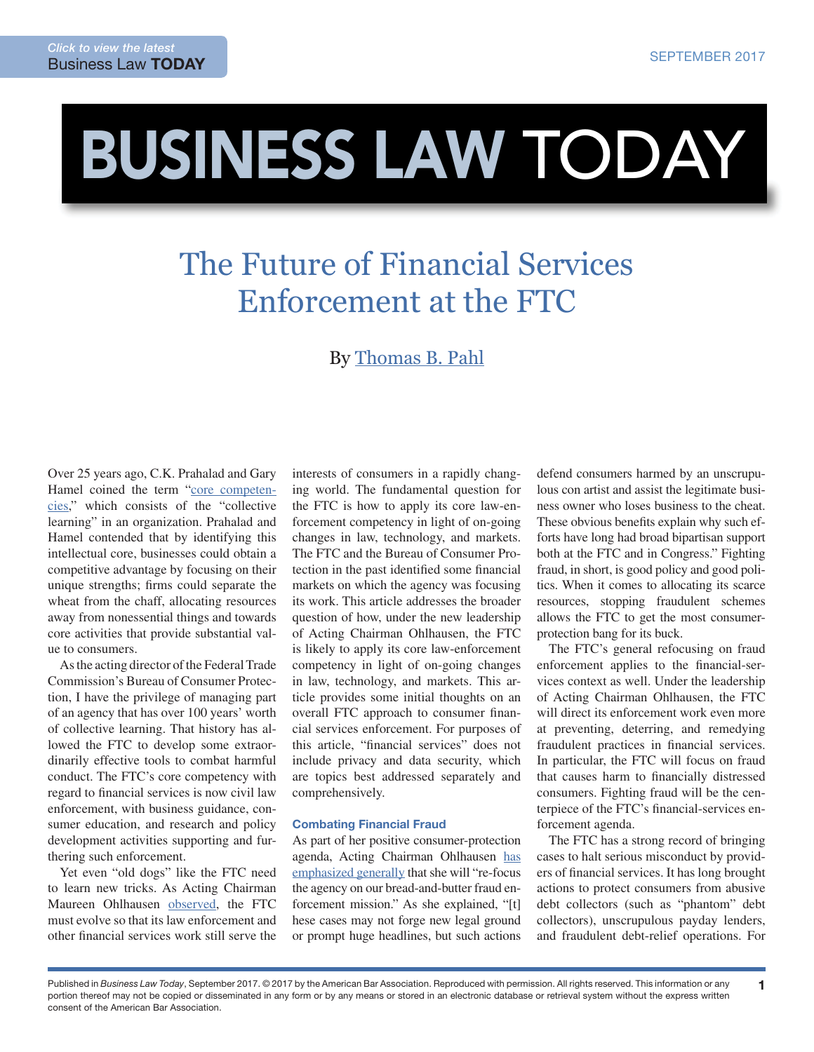# BUSINESS LAW TODAY

## The Future of Financial Services Enforcement at the FTC

### By [Thomas B. Pahl](https://www.ftc.gov/about-ftc/biographies/thomas-b-pahl)

Over 25 years ago, C.K. Prahalad and Gary Hamel coined the term "[core competen](https://hbr.org/1990/05/the-core-competence-of-the-corporation)[cies,](https://hbr.org/1990/05/the-core-competence-of-the-corporation)" which consists of the "collective learning" in an organization. Prahalad and Hamel contended that by identifying this intellectual core, businesses could obtain a competitive advantage by focusing on their unique strengths; firms could separate the wheat from the chaff, allocating resources away from nonessential things and towards core activities that provide substantial value to consumers.

As the acting director of the Federal Trade Commission's Bureau of Consumer Protection, I have the privilege of managing part of an agency that has over 100 years' worth of collective learning. That history has allowed the FTC to develop some extraordinarily effective tools to combat harmful conduct. The FTC's core competency with regard to financial services is now civil law enforcement, with business guidance, consumer education, and research and policy development activities supporting and furthering such enforcement.

Yet even "old dogs" like the FTC need to learn new tricks. As Acting Chairman Maureen Ohlhausen [observed,](https://www.ftc.gov/system/files/documents/public_statements/1213893/ohlhausen_-_ftc_at_100_days_5-3-17.pdf) the FTC must evolve so that its law enforcement and other financial services work still serve the interests of consumers in a rapidly changing world. The fundamental question for the FTC is how to apply its core law-enforcement competency in light of on-going changes in law, technology, and markets. The FTC and the Bureau of Consumer Protection in the past identified some financial markets on which the agency was focusing its work. This article addresses the broader question of how, under the new leadership of Acting Chairman Ohlhausen, the FTC is likely to apply its core law-enforcement competency in light of on-going changes in law, technology, and markets. This article provides some initial thoughts on an overall FTC approach to consumer financial services enforcement. For purposes of this article, "financial services" does not include privacy and data security, which are topics best addressed separately and comprehensively.

#### Combating Financial Fraud

As part of her positive consumer-protection agenda, Acting Chairman Ohlhausen [has](https://www.ftc.gov/system/files/documents/public_statements/1069803/mko_aba_consumer_protection_conference.pdf) [emphasized generally](https://www.ftc.gov/system/files/documents/public_statements/1069803/mko_aba_consumer_protection_conference.pdf) that she will "re-focus the agency on our bread-and-butter fraud enforcement mission." As she explained, "[t] hese cases may not forge new legal ground or prompt huge headlines, but such actions

defend consumers harmed by an unscrupulous con artist and assist the legitimate business owner who loses business to the cheat. These obvious benefits explain why such efforts have long had broad bipartisan support both at the FTC and in Congress." Fighting fraud, in short, is good policy and good politics. When it comes to allocating its scarce resources, stopping fraudulent schemes allows the FTC to get the most consumerprotection bang for its buck.

The FTC's general refocusing on fraud enforcement applies to the financial-services context as well. Under the leadership of Acting Chairman Ohlhausen, the FTC will direct its enforcement work even more at preventing, deterring, and remedying fraudulent practices in financial services. In particular, the FTC will focus on fraud that causes harm to financially distressed consumers. Fighting fraud will be the centerpiece of the FTC's financial-services enforcement agenda.

The FTC has a strong record of bringing cases to halt serious misconduct by providers of financial services. It has long brought actions to protect consumers from abusive debt collectors (such as "phantom" debt collectors), unscrupulous payday lenders, and fraudulent debt-relief operations. For

1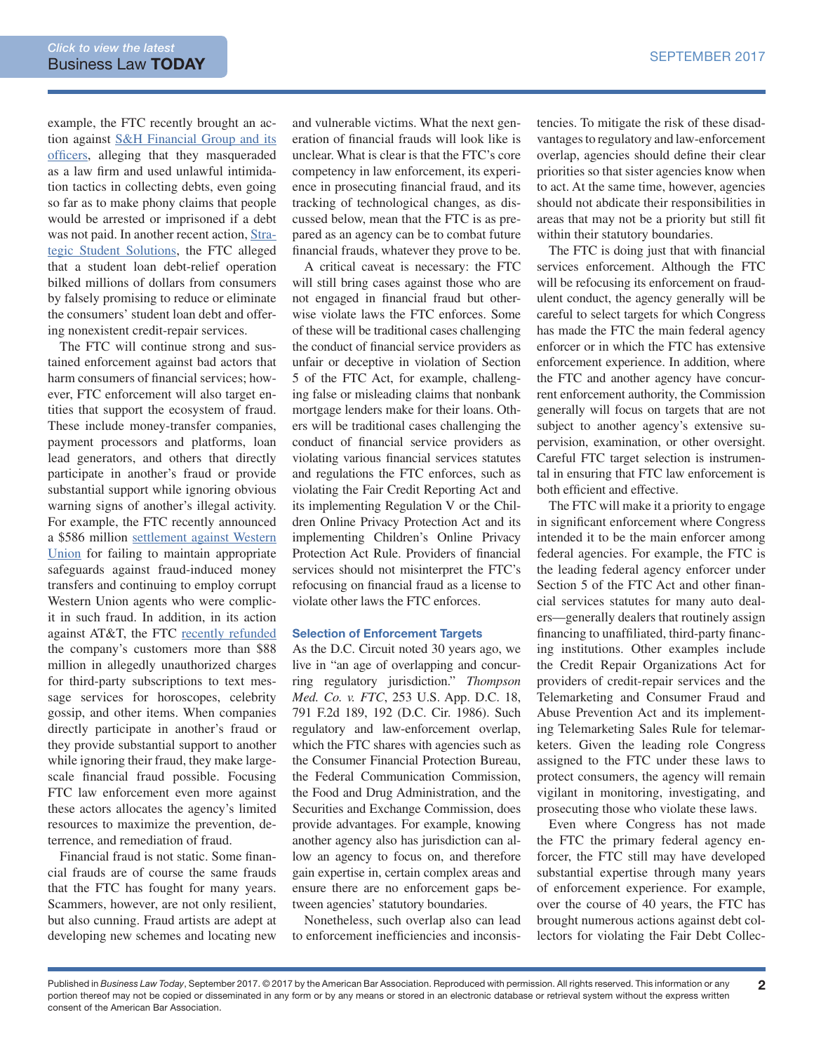example, the FTC recently brought an action against [S&H Financial Group and its](https://www.ftc.gov/enforcement/cases-proceedings/172-3125/hardco-holding-group-llc-alliance-law-group) [officers,](https://www.ftc.gov/enforcement/cases-proceedings/172-3125/hardco-holding-group-llc-alliance-law-group) alleging that they masqueraded as a law firm and used unlawful intimidation tactics in collecting debts, even going so far as to make phony claims that people would be arrested or imprisoned if a debt was not paid. In another recent action, [Stra](https://www.ftc.gov/news-events/press-releases/2017/05/ftc-stops-operators-unlawful-student-debt-relief-credit-repair)[tegic Student Solutions,](https://www.ftc.gov/news-events/press-releases/2017/05/ftc-stops-operators-unlawful-student-debt-relief-credit-repair) the FTC alleged that a student loan debt-relief operation bilked millions of dollars from consumers by falsely promising to reduce or eliminate the consumers' student loan debt and offering nonexistent credit-repair services.

The FTC will continue strong and sustained enforcement against bad actors that harm consumers of financial services; however, FTC enforcement will also target entities that support the ecosystem of fraud. These include money-transfer companies, payment processors and platforms, loan lead generators, and others that directly participate in another's fraud or provide substantial support while ignoring obvious warning signs of another's illegal activity. For example, the FTC recently announced a \$586 million [settlement against Western](https://www.ftc.gov/news-events/press-releases/2017/01/western-union-admits-anti-money-laundering-violations-settles) [Union](https://www.ftc.gov/news-events/press-releases/2017/01/western-union-admits-anti-money-laundering-violations-settles) for failing to maintain appropriate safeguards against fraud-induced money transfers and continuing to employ corrupt Western Union agents who were complicit in such fraud. In addition, in its action against AT&T, the FTC [recently refunded](https://www.ftc.gov/news-events/press-releases/2016/12/ftc-providing-over-88-million-refunds-att-customers-who-were) the company's customers more than \$88 million in allegedly unauthorized charges for third-party subscriptions to text message services for horoscopes, celebrity gossip, and other items. When companies directly participate in another's fraud or they provide substantial support to another while ignoring their fraud, they make largescale financial fraud possible. Focusing FTC law enforcement even more against these actors allocates the agency's limited resources to maximize the prevention, deterrence, and remediation of fraud.

Financial fraud is not static. Some financial frauds are of course the same frauds that the FTC has fought for many years. Scammers, however, are not only resilient, but also cunning. Fraud artists are adept at developing new schemes and locating new

and vulnerable victims. What the next generation of financial frauds will look like is unclear. What is clear is that the FTC's core competency in law enforcement, its experience in prosecuting financial fraud, and its tracking of technological changes, as discussed below, mean that the FTC is as prepared as an agency can be to combat future financial frauds, whatever they prove to be.

A critical caveat is necessary: the FTC will still bring cases against those who are not engaged in financial fraud but otherwise violate laws the FTC enforces. Some of these will be traditional cases challenging the conduct of financial service providers as unfair or deceptive in violation of Section 5 of the FTC Act, for example, challenging false or misleading claims that nonbank mortgage lenders make for their loans. Others will be traditional cases challenging the conduct of financial service providers as violating various financial services statutes and regulations the FTC enforces, such as violating the Fair Credit Reporting Act and its implementing Regulation V or the Children Online Privacy Protection Act and its implementing Children's Online Privacy Protection Act Rule. Providers of financial services should not misinterpret the FTC's refocusing on financial fraud as a license to violate other laws the FTC enforces.

#### Selection of Enforcement Targets

As the D.C. Circuit noted 30 years ago, we live in "an age of overlapping and concurring regulatory jurisdiction." *Thompson Med. Co. v. FTC*, 253 U.S. App. D.C. 18, 791 F.2d 189, 192 (D.C. Cir. 1986). Such regulatory and law-enforcement overlap, which the FTC shares with agencies such as the Consumer Financial Protection Bureau, the Federal Communication Commission, the Food and Drug Administration, and the Securities and Exchange Commission, does provide advantages. For example, knowing another agency also has jurisdiction can allow an agency to focus on, and therefore gain expertise in, certain complex areas and ensure there are no enforcement gaps between agencies' statutory boundaries.

Nonetheless, such overlap also can lead to enforcement inefficiencies and inconsistencies. To mitigate the risk of these disadvantages to regulatory and law-enforcement overlap, agencies should define their clear priorities so that sister agencies know when to act. At the same time, however, agencies should not abdicate their responsibilities in areas that may not be a priority but still fit within their statutory boundaries.

The FTC is doing just that with financial services enforcement. Although the FTC will be refocusing its enforcement on fraudulent conduct, the agency generally will be careful to select targets for which Congress has made the FTC the main federal agency enforcer or in which the FTC has extensive enforcement experience. In addition, where the FTC and another agency have concurrent enforcement authority, the Commission generally will focus on targets that are not subject to another agency's extensive supervision, examination, or other oversight. Careful FTC target selection is instrumental in ensuring that FTC law enforcement is both efficient and effective.

The FTC will make it a priority to engage in significant enforcement where Congress intended it to be the main enforcer among federal agencies. For example, the FTC is the leading federal agency enforcer under Section 5 of the FTC Act and other financial services statutes for many auto dealers—generally dealers that routinely assign financing to unaffiliated, third-party financing institutions. Other examples include the Credit Repair Organizations Act for providers of credit-repair services and the Telemarketing and Consumer Fraud and Abuse Prevention Act and its implementing Telemarketing Sales Rule for telemarketers. Given the leading role Congress assigned to the FTC under these laws to protect consumers, the agency will remain vigilant in monitoring, investigating, and prosecuting those who violate these laws.

Even where Congress has not made the FTC the primary federal agency enforcer, the FTC still may have developed substantial expertise through many years of enforcement experience. For example, over the course of 40 years, the FTC has brought numerous actions against debt collectors for violating the Fair Debt Collec-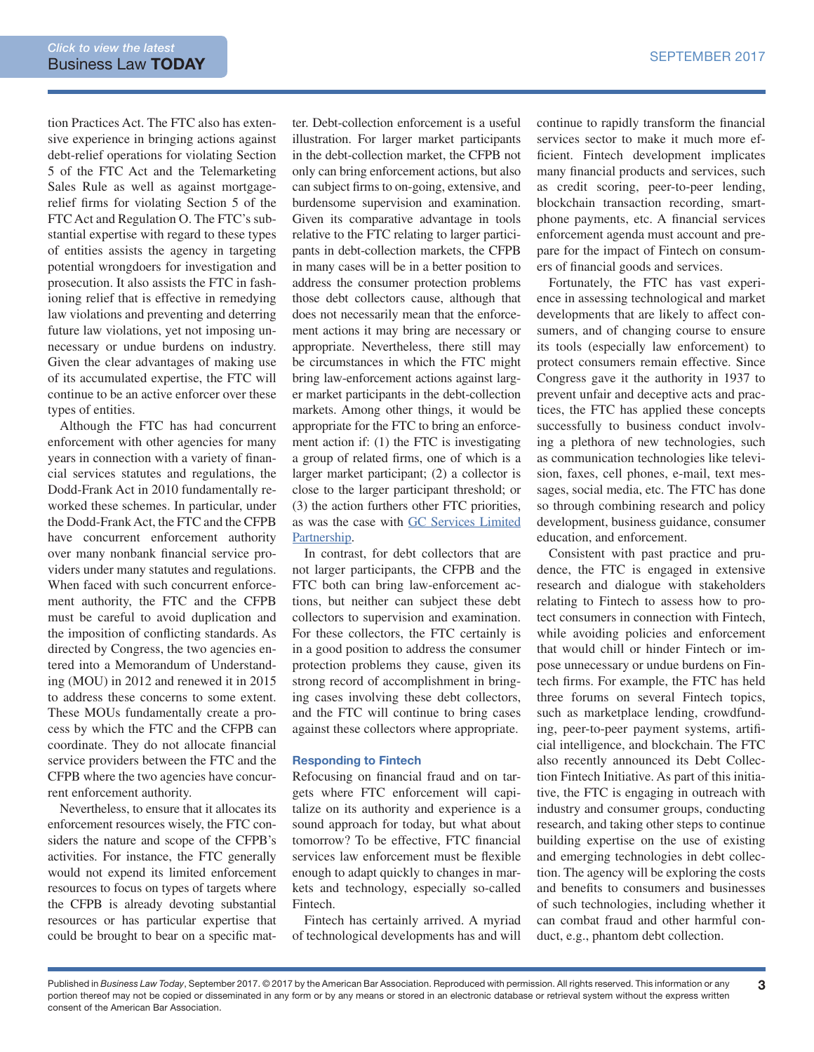tion Practices Act. The FTC also has extensive experience in bringing actions against debt-relief operations for violating Section 5 of the FTC Act and the Telemarketing Sales Rule as well as against mortgagerelief firms for violating Section 5 of the FTC Act and Regulation O. The FTC's substantial expertise with regard to these types of entities assists the agency in targeting potential wrongdoers for investigation and prosecution. It also assists the FTC in fashioning relief that is effective in remedying law violations and preventing and deterring future law violations, yet not imposing unnecessary or undue burdens on industry. Given the clear advantages of making use of its accumulated expertise, the FTC will continue to be an active enforcer over these types of entities.

Although the FTC has had concurrent enforcement with other agencies for many years in connection with a variety of financial services statutes and regulations, the Dodd-Frank Act in 2010 fundamentally reworked these schemes. In particular, under the Dodd-Frank Act, the FTC and the CFPB have concurrent enforcement authority over many nonbank financial service providers under many statutes and regulations. When faced with such concurrent enforcement authority, the FTC and the CFPB must be careful to avoid duplication and the imposition of conflicting standards. As directed by Congress, the two agencies entered into a Memorandum of Understanding (MOU) in 2012 and renewed it in 2015 to address these concerns to some extent. These MOUs fundamentally create a process by which the FTC and the CFPB can coordinate. They do not allocate financial service providers between the FTC and the CFPB where the two agencies have concurrent enforcement authority.

Nevertheless, to ensure that it allocates its enforcement resources wisely, the FTC considers the nature and scope of the CFPB's activities. For instance, the FTC generally would not expend its limited enforcement resources to focus on types of targets where the CFPB is already devoting substantial resources or has particular expertise that could be brought to bear on a specific mat-

ter. Debt-collection enforcement is a useful illustration. For larger market participants in the debt-collection market, the CFPB not only can bring enforcement actions, but also can subject firms to on-going, extensive, and burdensome supervision and examination. Given its comparative advantage in tools relative to the FTC relating to larger participants in debt-collection markets, the CFPB in many cases will be in a better position to address the consumer protection problems those debt collectors cause, although that does not necessarily mean that the enforcement actions it may bring are necessary or appropriate. Nevertheless, there still may be circumstances in which the FTC might bring law-enforcement actions against larger market participants in the debt-collection markets. Among other things, it would be appropriate for the FTC to bring an enforcement action if: (1) the FTC is investigating a group of related firms, one of which is a larger market participant; (2) a collector is close to the larger participant threshold; or (3) the action furthers other FTC priorities, as was the case with [GC Services Limited](https://www.ftc.gov/news-events/press-releases/2017/02/student-loan-debt-collector-will-pay-700000-unlawful-collection) [Partnership](https://www.ftc.gov/news-events/press-releases/2017/02/student-loan-debt-collector-will-pay-700000-unlawful-collection).

In contrast, for debt collectors that are not larger participants, the CFPB and the FTC both can bring law-enforcement actions, but neither can subject these debt collectors to supervision and examination. For these collectors, the FTC certainly is in a good position to address the consumer protection problems they cause, given its strong record of accomplishment in bringing cases involving these debt collectors, and the FTC will continue to bring cases against these collectors where appropriate.

#### Responding to Fintech

Refocusing on financial fraud and on targets where FTC enforcement will capitalize on its authority and experience is a sound approach for today, but what about tomorrow? To be effective, FTC financial services law enforcement must be flexible enough to adapt quickly to changes in markets and technology, especially so-called Fintech.

Fintech has certainly arrived. A myriad of technological developments has and will

continue to rapidly transform the financial services sector to make it much more efficient. Fintech development implicates many financial products and services, such as credit scoring, peer-to-peer lending, blockchain transaction recording, smartphone payments, etc. A financial services enforcement agenda must account and prepare for the impact of Fintech on consumers of financial goods and services.

Fortunately, the FTC has vast experience in assessing technological and market developments that are likely to affect consumers, and of changing course to ensure its tools (especially law enforcement) to protect consumers remain effective. Since Congress gave it the authority in 1937 to prevent unfair and deceptive acts and practices, the FTC has applied these concepts successfully to business conduct involving a plethora of new technologies, such as communication technologies like television, faxes, cell phones, e-mail, text messages, social media, etc. The FTC has done so through combining research and policy development, business guidance, consumer education, and enforcement.

Consistent with past practice and prudence, the FTC is engaged in extensive research and dialogue with stakeholders relating to Fintech to assess how to protect consumers in connection with Fintech, while avoiding policies and enforcement that would chill or hinder Fintech or impose unnecessary or undue burdens on Fintech firms. For example, the FTC has held three forums on several Fintech topics, such as marketplace lending, crowdfunding, peer-to-peer payment systems, artificial intelligence, and blockchain. The FTC also recently announced its Debt Collection Fintech Initiative. As part of this initiative, the FTC is engaging in outreach with industry and consumer groups, conducting research, and taking other steps to continue building expertise on the use of existing and emerging technologies in debt collection. The agency will be exploring the costs and benefits to consumers and businesses of such technologies, including whether it can combat fraud and other harmful conduct, e.g., phantom debt collection.